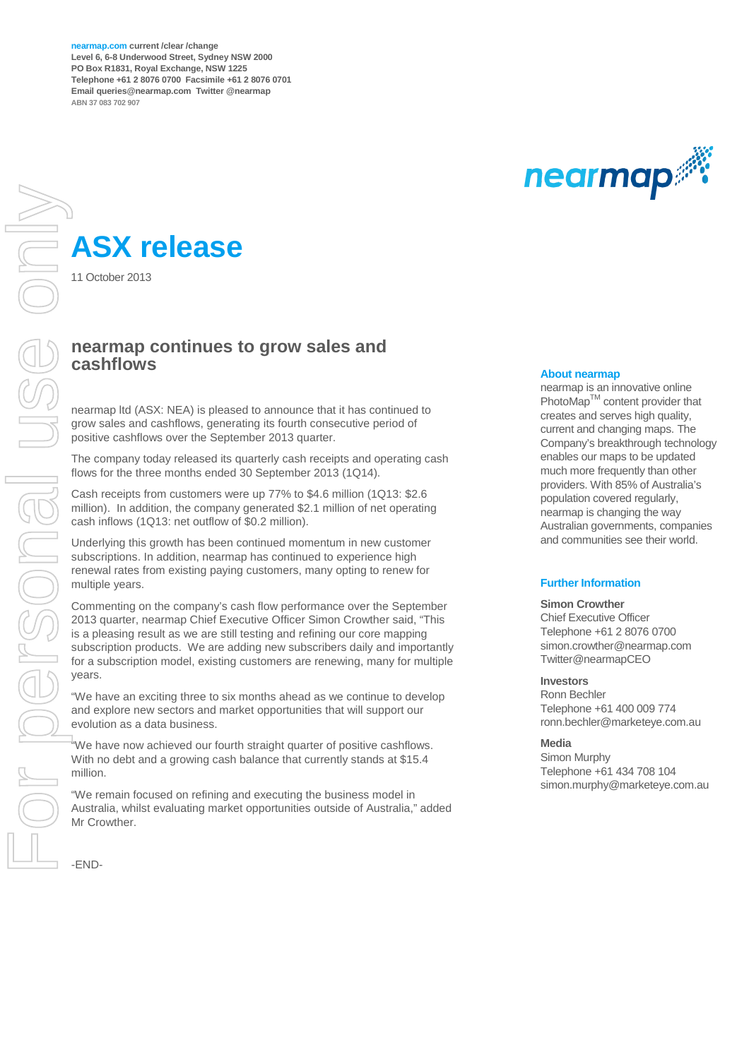**nearmap.com current /clear /change Level 6, 6-8 Underwood Street, Sydney NSW 2000 PO Box R1831, Royal Exchange, NSW 1225 Telephone +61 2 8076 0700 Facsimile +61 2 8076 0701 Email queries@nearmap.com Twitter @nearmap ABN 37 083 702 907**



# **ASX release**

11 October 2013

### **nearmap continues to grow sales and cashflows**

nearmap ltd (ASX: NEA) is pleased to announce that it has continued to grow sales and cashflows, generating its fourth consecutive period of positive cashflows over the September 2013 quarter.

The company today released its quarterly cash receipts and operating cash flows for the three months ended 30 September 2013 (1Q14).

Cash receipts from customers were up 77% to \$4.6 million (1Q13: \$2.6 million). In addition, the company generated \$2.1 million of net operating cash inflows (1Q13: net outflow of \$0.2 million).

Underlying this growth has been continued momentum in new customer subscriptions. In addition, nearmap has continued to experience high renewal rates from existing paying customers, many opting to renew for multiple years.

Commenting on the company's cash flow performance over the September 2013 quarter, nearmap Chief Executive Officer Simon Crowther said, "This is a pleasing result as we are still testing and refining our core mapping subscription products. We are adding new subscribers daily and importantly for a subscription model, existing customers are renewing, many for multiple years.

"We have an exciting three to six months ahead as we continue to develop and explore new sectors and market opportunities that will support our evolution as a data business.

"We have now achieved our fourth straight quarter of positive cashflows. With no debt and a growing cash balance that currently stands at \$15.4 million.

"We remain focused on refining and executing the business model in Australia, whilst evaluating market opportunities outside of Australia," added Mr Crowther.

-END-

#### **About nearmap**

nearmap is an innovative online PhotoMap™ content provider that creates and serves high quality, current and changing maps. The Company's breakthrough technology enables our maps to be updated much more frequently than other providers. With 85% of Australia's population covered regularly, nearmap is changing the way Australian governments, companies and communities see their world.

### **Further Information**

#### **Simon Crowther**

Chief Executive Officer Telephone +61 2 8076 0700 simon.crowther@nearmap.com Twitter@nearmapCEO

### **Investors**

Ronn Bechler Telephone +61 400 009 774 ronn.bechler@marketeye.com.au

#### **Media**

Simon Murphy Telephone +61 434 708 104 simon.murphy@marketeye.com.au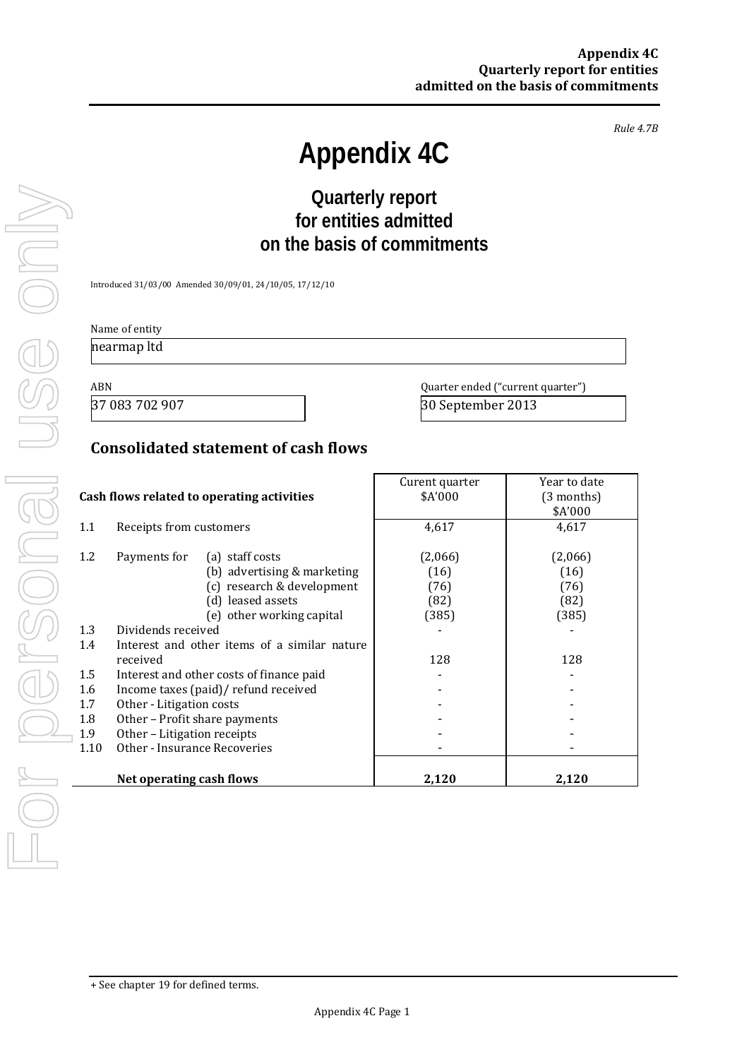*Rule 4.7B*

# **Appendix 4C**

# **Quarterly report for entities admitted on the basis of commitments**

Introduced 31/03/00 Amended 30/09/01, 24/10/05, 17/12/10

# Name of entity

nearmap ltd

ABN Quarter ended ("current quarter")<br>37 083 702 907 30 September 2013

30 September 2013

# **Consolidated statement of cash flows**

|      |                                              | Curent quarter | Year to date |
|------|----------------------------------------------|----------------|--------------|
|      | Cash flows related to operating activities   | \$A'000        | (3 months)   |
|      |                                              |                | \$A'000      |
| 1.1  | Receipts from customers                      | 4,617          | 4,617        |
|      |                                              |                |              |
| 1.2  | Payments for<br>(a) staff costs              | (2,066)        | (2,066)      |
|      | (b) advertising & marketing                  | (16)           | (16)         |
|      | (c) research & development                   | (76)           | (76)         |
|      | (d) leased assets                            | (82)           | (82)         |
|      | (e) other working capital                    | (385)          | (385)        |
| 1.3  | Dividends received                           |                |              |
| 1.4  | Interest and other items of a similar nature |                |              |
|      | received                                     | 128            | 128          |
| 1.5  | Interest and other costs of finance paid     |                |              |
| 1.6  | Income taxes (paid)/ refund received         |                |              |
| 1.7  | Other - Litigation costs                     |                |              |
| 1.8  | Other - Profit share payments                |                |              |
| 1.9  | Other - Litigation receipts                  |                |              |
| 1.10 | Other - Insurance Recoveries                 |                |              |
|      |                                              |                |              |
|      | Net operating cash flows                     | 2,120          | 2,120        |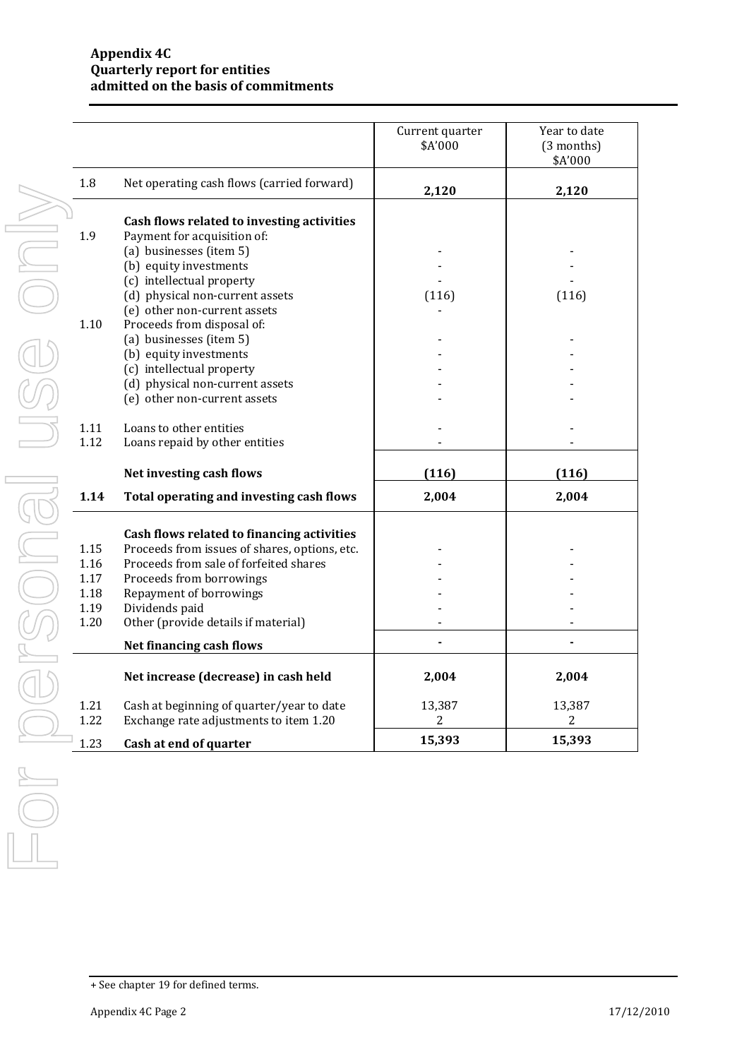|      |                                               | Current quarter<br>\$A'000 | Year to date<br>(3 months)<br>\$A'000 |
|------|-----------------------------------------------|----------------------------|---------------------------------------|
| 1.8  | Net operating cash flows (carried forward)    | 2,120                      | 2,120                                 |
|      | Cash flows related to investing activities    |                            |                                       |
| 1.9  | Payment for acquisition of:                   |                            |                                       |
|      | (a) businesses (item 5)                       |                            |                                       |
|      | (b) equity investments                        |                            |                                       |
|      | (c) intellectual property                     |                            |                                       |
|      | (d) physical non-current assets               | (116)                      | (116)                                 |
|      | (e) other non-current assets                  |                            |                                       |
| 1.10 | Proceeds from disposal of:                    |                            |                                       |
|      | (a) businesses (item 5)                       |                            |                                       |
|      | (b) equity investments                        |                            |                                       |
|      | (c) intellectual property                     |                            |                                       |
|      | (d) physical non-current assets               |                            |                                       |
|      | (e) other non-current assets                  |                            |                                       |
|      |                                               |                            |                                       |
| 1.11 | Loans to other entities                       |                            |                                       |
| 1.12 | Loans repaid by other entities                |                            |                                       |
|      | Net investing cash flows                      | (116)                      | (116)                                 |
|      |                                               |                            |                                       |
| 1.14 | Total operating and investing cash flows      | 2,004                      | 2,004                                 |
|      | Cash flows related to financing activities    |                            |                                       |
| 1.15 | Proceeds from issues of shares, options, etc. |                            |                                       |
| 1.16 | Proceeds from sale of forfeited shares        |                            |                                       |
| 1.17 | Proceeds from borrowings                      |                            |                                       |
| 1.18 | Repayment of borrowings                       |                            |                                       |
| 1.19 | Dividends paid                                |                            |                                       |
| 1.20 | Other (provide details if material)           |                            |                                       |
|      | Net financing cash flows                      |                            |                                       |
|      | Net increase (decrease) in cash held          | 2,004                      | 2,004                                 |
| 1.21 | Cash at beginning of quarter/year to date     | 13,387                     | 13,387                                |
| 1.22 | Exchange rate adjustments to item 1.20        | $\overline{c}$             | $\mathbf{2}$                          |
|      |                                               |                            |                                       |

<sup>+</sup> See chapter 19 for defined terms.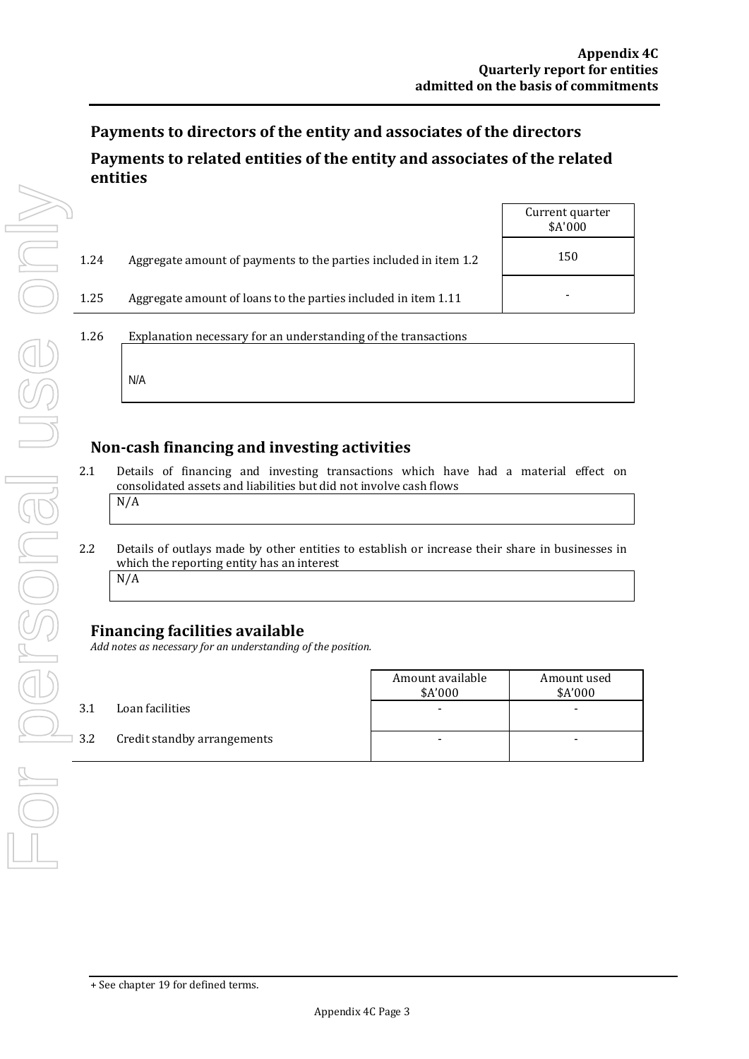# **Payments to directors of the entity and associates of the directors Payments to related entities of the entity and associates of the related entities**

|      |                                                                  | Current quarter<br>\$A'000 |
|------|------------------------------------------------------------------|----------------------------|
| 1.24 | Aggregate amount of payments to the parties included in item 1.2 | 150                        |
| 1.25 | Aggregate amount of loans to the parties included in item 1.11   |                            |
| 1.26 | Explanation necessary for an understanding of the transactions   |                            |
|      | N/A                                                              |                            |

# **Non-cash financing and investing activities**

- 2.1 Details of financing and investing transactions which have had a material effect on consolidated assets and liabilities but did not involve cash flows N/A
- 2.2 Details of outlays made by other entities to establish or increase their share in businesses in which the reporting entity has an interest N/A

# **Financing facilities available**

*Add notes as necessary for an understanding of the position.*

|     |                             | Amount available<br>\$A'000 | Amount used<br>\$A'000 |
|-----|-----------------------------|-----------------------------|------------------------|
| 3.1 | Loan facilities             | -                           |                        |
| 3.2 | Credit standby arrangements | -                           |                        |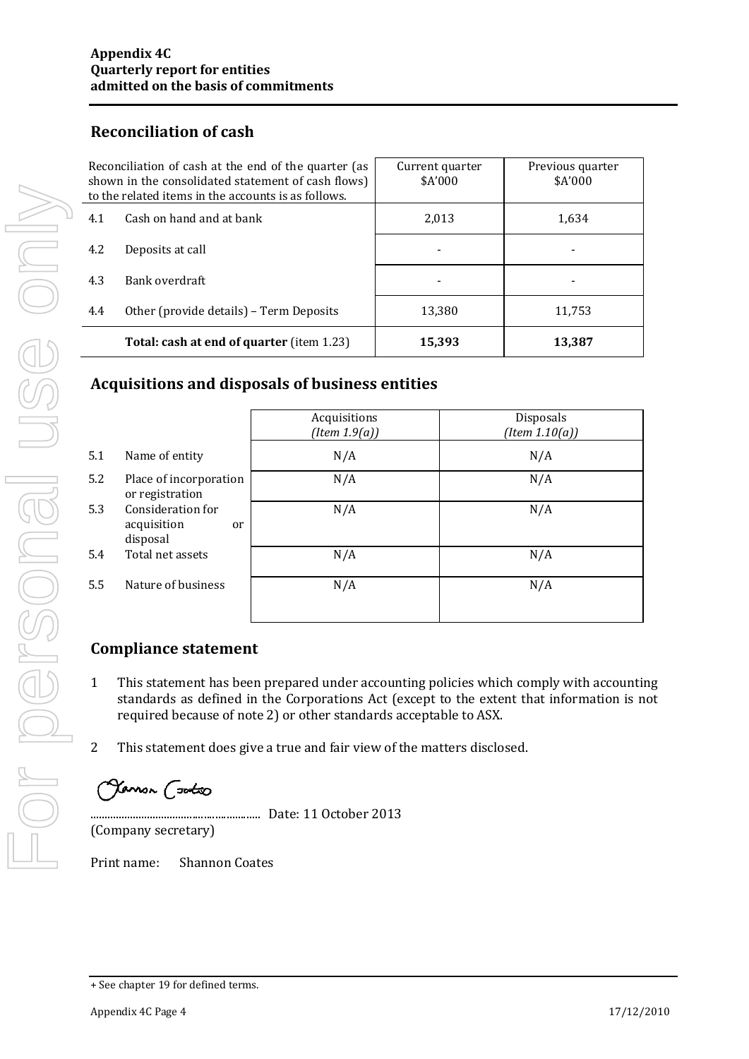# **Reconciliation of cash**

|     | Reconciliation of cash at the end of the quarter (as<br>shown in the consolidated statement of cash flows)<br>to the related items in the accounts is as follows. | Current quarter<br>\$A'000 | Previous quarter<br>\$A'000 |
|-----|-------------------------------------------------------------------------------------------------------------------------------------------------------------------|----------------------------|-----------------------------|
| 4.1 | Cash on hand and at bank                                                                                                                                          | 2,013                      | 1,634                       |
| 4.2 | Deposits at call                                                                                                                                                  |                            | -                           |
| 4.3 | Bank overdraft                                                                                                                                                    |                            |                             |
| 4.4 | Other (provide details) - Term Deposits                                                                                                                           | 13,380                     | 11,753                      |
|     | Total: cash at end of quarter (item 1.23)                                                                                                                         | 15,393                     | 13,387                      |

# **Acquisitions and disposals of business entities**

|     |                                                    | Acquisitions<br>(Item 1.9(a)) | Disposals<br>$(Item\ 1.10(a))$ |
|-----|----------------------------------------------------|-------------------------------|--------------------------------|
| 5.1 | Name of entity                                     | N/A                           | N/A                            |
| 5.2 | Place of incorporation<br>or registration          | N/A                           | N/A                            |
| 5.3 | Consideration for<br>acquisition<br>or<br>disposal | N/A                           | N/A                            |
| 5.4 | Total net assets                                   | N/A                           | N/A                            |
| 5.5 | Nature of business                                 | N/A                           | N/A                            |

# **Compliance statement**

- 1 This statement has been prepared under accounting policies which comply with accounting standards as defined in the Corporations Act (except to the extent that information is not required because of note 2) or other standards acceptable to ASX.
- 2 This statement does give a true and fair view of the matters disclosed.

Jamon (<del>satx</del>o

............................................................ Date: 11 October 2013

(Company secretary)

Print name: Shannon Coates

For personal use only USS ONN 

<sup>+</sup> See chapter 19 for defined terms.